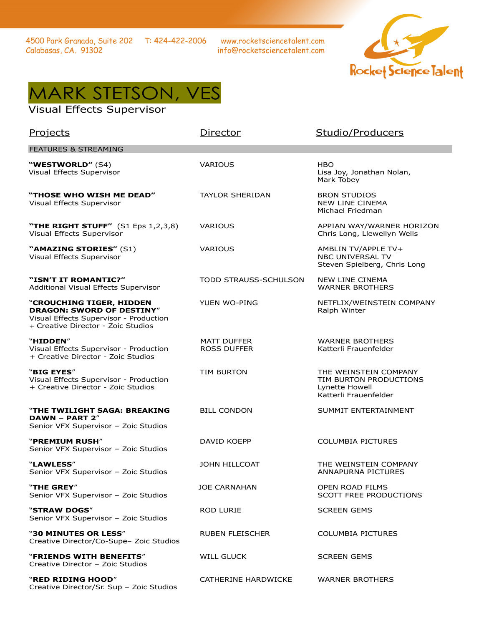www.rocketsciencetalent.com info@rocketsciencetalent.com



## MARK STETSON, VES

## Visual Effects Supervisor

| Projects                                                                                                                                     | Director                                 | Studio/Producers                                                                           |
|----------------------------------------------------------------------------------------------------------------------------------------------|------------------------------------------|--------------------------------------------------------------------------------------------|
| <b>FEATURES &amp; STREAMING</b>                                                                                                              |                                          |                                                                                            |
| "WESTWORLD" (S4)<br>Visual Effects Supervisor                                                                                                | <b>VARIOUS</b>                           | <b>HBO</b><br>Lisa Joy, Jonathan Nolan,<br>Mark Tobey                                      |
| "THOSE WHO WISH ME DEAD"<br>Visual Effects Supervisor                                                                                        | <b>TAYLOR SHERIDAN</b>                   | <b>BRON STUDIOS</b><br><b>NEW LINE CINEMA</b><br>Michael Friedman                          |
| "THE RIGHT STUFF" (S1 Eps 1,2,3,8)<br>Visual Effects Supervisor                                                                              | <b>VARIOUS</b>                           | APPIAN WAY/WARNER HORIZON<br>Chris Long, Llewellyn Wells                                   |
| "AMAZING STORIES" (S1)<br>Visual Effects Supervisor                                                                                          | <b>VARIOUS</b>                           | AMBLIN TV/APPLE TV+<br><b>NBC UNIVERSAL TV</b><br>Steven Spielberg, Chris Long             |
| "ISN'T IT ROMANTIC?"<br>Additional Visual Effects Supervisor                                                                                 | TODD STRAUSS-SCHULSON                    | <b>NEW LINE CINEMA</b><br><b>WARNER BROTHERS</b>                                           |
| "CROUCHING TIGER, HIDDEN<br><b>DRAGON: SWORD OF DESTINY"</b><br>Visual Effects Supervisor - Production<br>+ Creative Director - Zoic Studios | <b>YUEN WO-PING</b>                      | NETFLIX/WEINSTEIN COMPANY<br>Ralph Winter                                                  |
| "HIDDEN"<br>Visual Effects Supervisor - Production<br>+ Creative Director - Zoic Studios                                                     | <b>MATT DUFFER</b><br><b>ROSS DUFFER</b> | <b>WARNER BROTHERS</b><br>Katterli Frauenfelder                                            |
| "BIG EYES"<br>Visual Effects Supervisor - Production<br>+ Creative Director - Zoic Studios                                                   | <b>TIM BURTON</b>                        | THE WEINSTEIN COMPANY<br>TIM BURTON PRODUCTIONS<br>Lynette Howell<br>Katterli Frauenfelder |
| "THE TWILIGHT SAGA: BREAKING<br>DAWN - PART 2"<br>Senior VFX Supervisor - Zoic Studios                                                       | <b>BILL CONDON</b>                       | SUMMIT ENTERTAINMENT                                                                       |
| "PREMIUM RUSH"<br>Senior VFX Supervisor - Zoic Studios                                                                                       | DAVID KOEPP                              | <b>COLUMBIA PICTURES</b>                                                                   |
| "LAWLESS"<br>Senior VFX Supervisor - Zoic Studios                                                                                            | <b>JOHN HILLCOAT</b>                     | THE WEINSTEIN COMPANY<br><b>ANNAPURNA PICTURES</b>                                         |
| "THE GREY"<br>Senior VFX Supervisor - Zoic Studios                                                                                           | <b>JOE CARNAHAN</b>                      | OPEN ROAD FILMS<br><b>SCOTT FREE PRODUCTIONS</b>                                           |
| "STRAW DOGS"<br>Senior VFX Supervisor - Zoic Studios                                                                                         | ROD LURIE                                | <b>SCREEN GEMS</b>                                                                         |
| "30 MINUTES OR LESS"<br>Creative Director/Co-Supe- Zoic Studios                                                                              | RUBEN FLEISCHER                          | <b>COLUMBIA PICTURES</b>                                                                   |
| <b>"FRIENDS WITH BENEFITS"</b><br>Creative Director - Zoic Studios                                                                           | <b>WILL GLUCK</b>                        | <b>SCREEN GEMS</b>                                                                         |
| "RED RIDING HOOD"<br>Creative Director/Sr. Sup - Zoic Studios                                                                                | CATHERINE HARDWICKE                      | <b>WARNER BROTHERS</b>                                                                     |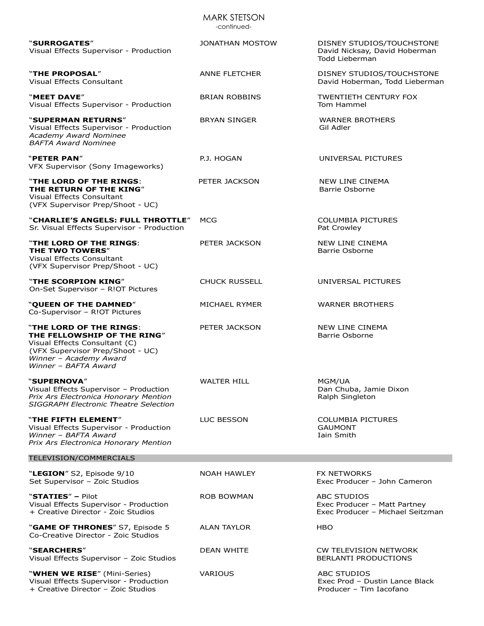| <b>MARK STETSON</b><br>-continued-                                                                                                                                            |                        |                                                                                 |  |  |
|-------------------------------------------------------------------------------------------------------------------------------------------------------------------------------|------------------------|---------------------------------------------------------------------------------|--|--|
| "SURROGATES"<br>Visual Effects Supervisor - Production                                                                                                                        | <b>JONATHAN MOSTOW</b> | DISNEY STUDIOS/TOUCHSTONE<br>David Nicksay, David Hoberman<br>Todd Lieberman    |  |  |
| "THE PROPOSAL"<br>Visual Effects Consultant                                                                                                                                   | <b>ANNE FLETCHER</b>   | DISNEY STUDIOS/TOUCHSTONE<br>David Hoberman, Todd Lieberman                     |  |  |
| "MEET DAVE"<br>Visual Effects Supervisor - Production                                                                                                                         | <b>BRIAN ROBBINS</b>   | <b>TWENTIETH CENTURY FOX</b><br>Tom Hammel                                      |  |  |
| "SUPERMAN RETURNS"<br>Visual Effects Supervisor - Production<br><b>Academy Award Nominee</b><br><b>BAFTA Award Nominee</b>                                                    | <b>BRYAN SINGER</b>    | <b>WARNER BROTHERS</b><br>Gil Adler                                             |  |  |
| "PETER PAN"<br>VFX Supervisor (Sony Imageworks)                                                                                                                               | P.J. HOGAN             | UNIVERSAL PICTURES                                                              |  |  |
| "THE LORD OF THE RINGS:<br>THE RETURN OF THE KING"<br>Visual Effects Consultant<br>(VFX Supervisor Prep/Shoot - UC)                                                           | PETER JACKSON          | <b>NEW LINE CINEMA</b><br>Barrie Osborne                                        |  |  |
| "CHARLIE'S ANGELS: FULL THROTTLE"<br>Sr. Visual Effects Supervisor - Production                                                                                               | MCG                    | <b>COLUMBIA PICTURES</b><br>Pat Crowley                                         |  |  |
| "THE LORD OF THE RINGS:<br>THE TWO TOWERS"<br>Visual Effects Consultant<br>(VFX Supervisor Prep/Shoot - UC)                                                                   | PETER JACKSON          | <b>NEW LINE CINEMA</b><br>Barrie Osborne                                        |  |  |
| "THE SCORPION KING"<br>On-Set Supervisor - R!OT Pictures                                                                                                                      | <b>CHUCK RUSSELL</b>   | UNIVERSAL PICTURES                                                              |  |  |
| "QUEEN OF THE DAMNED"<br>Co-Supervisor - R!OT Pictures                                                                                                                        | MICHAEL RYMER          | <b>WARNER BROTHERS</b>                                                          |  |  |
| "THE LORD OF THE RINGS:<br>THE FELLOWSHIP OF THE RING"<br>Visual Effects Consultant (C)<br>(VFX Supervisor Prep/Shoot - UC)<br>Winner - Academy Award<br>Winner - BAFTA Award | PETER JACKSON          | <b>NEW LINE CINEMA</b><br>Barrie Osborne                                        |  |  |
| "SUPERNOVA"<br>Visual Effects Supervisor - Production<br>Prix Ars Electronica Honorary Mention<br><b>SIGGRAPH Electronic Theatre Selection</b>                                | <b>WALTER HILL</b>     | MGM/UA<br>Dan Chuba, Jamie Dixon<br>Ralph Singleton                             |  |  |
| "THE FIFTH ELEMENT"<br>Visual Effects Supervisor - Production<br>Winner - BAFTA Award<br>Prix Ars Electronica Honorary Mention                                                | LUC BESSON             | <b>COLUMBIA PICTURES</b><br><b>GAUMONT</b><br>Iain Smith                        |  |  |
| TELEVISION/COMMERCIALS                                                                                                                                                        |                        |                                                                                 |  |  |
| "LEGION" S2, Episode 9/10<br>Set Supervisor - Zoic Studios                                                                                                                    | <b>NOAH HAWLEY</b>     | <b>FX NETWORKS</b><br>Exec Producer - John Cameron                              |  |  |
| "STATIES" - Pilot<br>Visual Effects Supervisor - Production<br>+ Creative Director - Zoic Studios                                                                             | <b>ROB BOWMAN</b>      | ABC STUDIOS<br>Exec Producer - Matt Partney<br>Exec Producer - Michael Seitzman |  |  |
| "GAME OF THRONES" S7, Episode 5<br>Co-Creative Director - Zoic Studios                                                                                                        | <b>ALAN TAYLOR</b>     | HBO                                                                             |  |  |
| "SEARCHERS"<br>Visual Effects Supervisor - Zoic Studios                                                                                                                       | DEAN WHITE             | CW TELEVISION NETWORK<br>BERLANTI PRODUCTIONS                                   |  |  |
| "WHEN WE RISE" (Mini-Series)<br>Visual Effects Supervisor - Production<br>+ Creative Director - Zoic Studios                                                                  | <b>VARIOUS</b>         | <b>ABC STUDIOS</b><br>Exec Prod - Dustin Lance Black<br>Producer - Tim Iacofano |  |  |